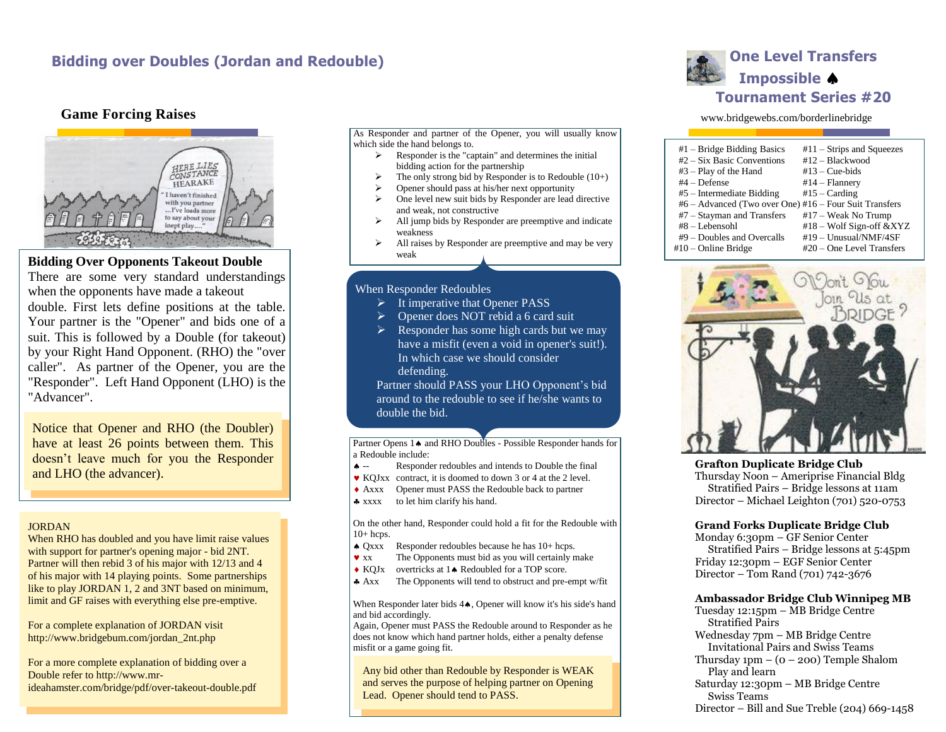# **Bidding over Doubles (Jordan and Redouble) Discussed According to the United States and According to the United States and According to the United States <b>Contracts** and Redouble)

## **Game Forcing Raises**



## **Bidding Over Opponents Takeout Double**

There are some very standard understandings when the opponents have made a takeout double. First lets define positions at the table. Your partner is the "Opener" and bids one of a suit. This is followed by a Double (for takeout) by your Right Hand Opponent. (RHO) the "over caller". As partner of the Opener, you are the "Responder". Left Hand Opponent (LHO) is the "Advancer".

Notice that Opener and RHO (the Doubler) have at least 26 points between them. This doesn't leave much for you the Responder and LHO (the advancer).

#### JORDAN

When RHO has doubled and you have limit raise values with support for partner's opening major - bid 2NT. Partner will then rebid 3 of his major with 12/13 and 4 of his major with 14 playing points. Some partnerships like to play JORDAN 1, 2 and 3NT based on minimum, limit and GF raises with everything else pre-emptive.

For a complete explanation of JORDAN visit http://www.bridgebum.com/jordan\_2nt.php

For a more complete explanation of bidding over a Double refer to http://www.mrideahamster.com/bridge/pdf/over-takeout-double.pdf As Responder and partner of the Opener, you will usually know which side the hand belongs to.

- Responder is the "captain" and determines the initial bidding action for the partnership
- The only strong bid by Responder is to Redouble  $(10+)$
- Opener should pass at his/her next opportunity
- $\triangleright$  One level new suit bids by Responder are lead directive and weak, not constructive
- $\triangleright$  All jump bids by Responder are preemptive and indicate weakness
- $\triangleright$  All raises by Responder are preemptive and may be very weak

### When Responder Redoubles

- $\triangleright$  It imperative that Opener PASS
- Opener does NOT rebid a 6 card suit
- $\triangleright$  Responder has some high cards but we may have a misfit (even a void in opener's suit!). In which case we should consider defending.

Partner should PASS your LHO Opponent's bid around to the redouble to see if he/she wants to double the bid.

Partner Opens 1 $\bullet$  and RHO Doubles - Possible Responder hands for a Redouble include:

- -- Responder redoubles and intends to Double the final
- KQJxx contract, it is doomed to down 3 or 4 at the 2 level.
- Axxx Opener must PASS the Redouble back to partner
- \* xxxx to let him clarify his hand.

On the other hand, Responder could hold a fit for the Redouble with  $10+$  hcps.

- Qxxx Responder redoubles because he has 10+ hcps.
- xx The Opponents must bid as you will certainly make
- KOJ<sub>x</sub> overtricks at 1<sup>\*</sup> Redoubled for a TOP score.
- Axx The Opponents will tend to obstruct and pre-empt w/fit

When Responder later bids  $4\spadesuit$ , Opener will know it's his side's hand and bid accordingly.

Again, Opener must PASS the Redouble around to Responder as he does not know which hand partner holds, either a penalty defense misfit or a game going fit.

Any bid other than Redouble by Responder is WEAK and serves the purpose of helping partner on Opening Lead. Opener should tend to PASS.

# **Impossible Tournament Series #20**

#### www.bridgewebs.com/borderlinebridge

| $#1$ – Bridge Bidding Basics                           | $#11 -$ Strips and Squeezes |  |
|--------------------------------------------------------|-----------------------------|--|
| $#2$ – Six Basic Conventions                           | $#12 - Blackwood$           |  |
| $#3 - Play$ of the Hand                                | $#13 - Cue-bids$            |  |
| $#4 -$ Defense                                         | $#14 - \text{Flannery}$     |  |
| $#5$ – Intermediate Bidding                            | $#15 - Carding$             |  |
| #6 – Advanced (Two over One) #16 – Four Suit Transfers |                             |  |
| $#7 - Stavman$ and Transfers                           | $#17 - Weak No Trump$       |  |
| #8 - Lebensohl                                         | #18 – Wolf Sign-off &XYZ    |  |
| $#9$ – Doubles and Overcalls                           | $#19 - Unusual/NMF/4SF$     |  |
| #10 – Online Bridge                                    | $#20$ – One Level Transfers |  |
|                                                        |                             |  |



**Grafton Duplicate Bridge Club** Thursday Noon – Ameriprise Financial Bldg Stratified Pairs – Bridge lessons at 11am Director – Michael Leighton (701) 520-0753

#### **Grand Forks Duplicate Bridge Club**

Monday 6:30pm – GF Senior Center Stratified Pairs – Bridge lessons at 5:45pm Friday 12:30pm – EGF Senior Center Director – Tom Rand (701) 742-3676

#### **Ambassador Bridge Club Winnipeg MB**

Tuesday 12:15pm – MB Bridge Centre Stratified Pairs Wednesday 7pm – MB Bridge Centre Invitational Pairs and Swiss Teams Thursday  $1pm - (0 - 200)$  Temple Shalom Play and learn Saturday 12:30pm – MB Bridge Centre Swiss Teams Director – Bill and Sue Treble (204) 669-1458